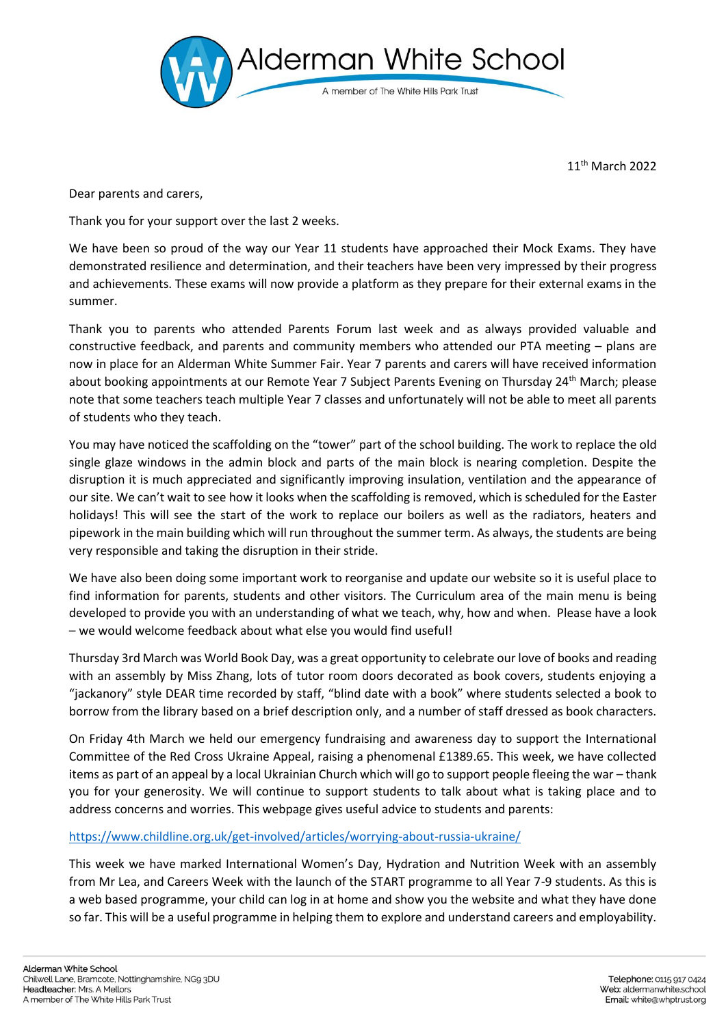

11th March 2022

Dear parents and carers,

Thank you for your support over the last 2 weeks.

We have been so proud of the way our Year 11 students have approached their Mock Exams. They have demonstrated resilience and determination, and their teachers have been very impressed by their progress and achievements. These exams will now provide a platform as they prepare for their external exams in the summer.

Thank you to parents who attended Parents Forum last week and as always provided valuable and constructive feedback, and parents and community members who attended our PTA meeting – plans are now in place for an Alderman White Summer Fair. Year 7 parents and carers will have received information about booking appointments at our Remote Year 7 Subject Parents Evening on Thursday 24<sup>th</sup> March; please note that some teachers teach multiple Year 7 classes and unfortunately will not be able to meet all parents of students who they teach.

You may have noticed the scaffolding on the "tower" part of the school building. The work to replace the old single glaze windows in the admin block and parts of the main block is nearing completion. Despite the disruption it is much appreciated and significantly improving insulation, ventilation and the appearance of our site. We can't wait to see how it looks when the scaffolding is removed, which is scheduled for the Easter holidays! This will see the start of the work to replace our boilers as well as the radiators, heaters and pipework in the main building which will run throughout the summer term. As always, the students are being very responsible and taking the disruption in their stride.

We have also been doing some important work to reorganise and update our website so it is useful place to find information for parents, students and other visitors. The Curriculum area of the main menu is being developed to provide you with an understanding of what we teach, why, how and when. Please have a look – we would welcome feedback about what else you would find useful!

Thursday 3rd March was World Book Day, was a great opportunity to celebrate our love of books and reading with an assembly by Miss Zhang, lots of tutor room doors decorated as book covers, students enjoying a "jackanory" style DEAR time recorded by staff, "blind date with a book" where students selected a book to borrow from the library based on a brief description only, and a number of staff dressed as book characters.

On Friday 4th March we held our emergency fundraising and awareness day to support the International Committee of the Red Cross Ukraine Appeal, raising a phenomenal £1389.65. This week, we have collected items as part of an appeal by a local Ukrainian Church which will go to support people fleeing the war – thank you for your generosity. We will continue to support students to talk about what is taking place and to address concerns and worries. This webpage gives useful advice to students and parents:

## <https://www.childline.org.uk/get-involved/articles/worrying-about-russia-ukraine/>

This week we have marked International Women's Day, Hydration and Nutrition Week with an assembly from Mr Lea, and Careers Week with the launch of the START programme to all Year 7-9 students. As this is a web based programme, your child can log in at home and show you the website and what they have done so far. This will be a useful programme in helping them to explore and understand careers and employability.